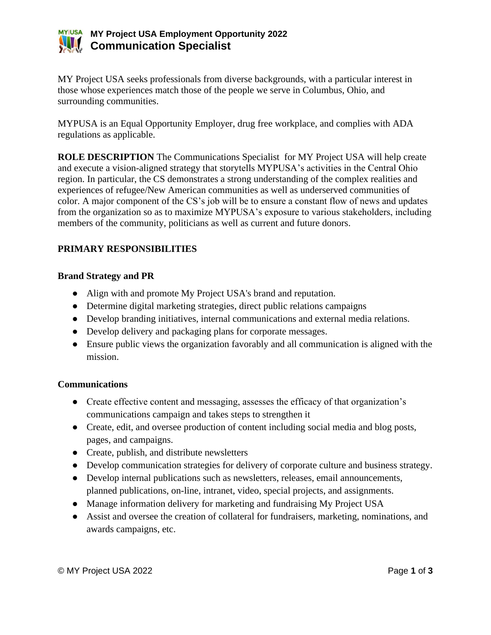

## **MY Project USA Employment Opportunity 2022 Communication Specialist**

MY Project USA seeks professionals from diverse backgrounds, with a particular interest in those whose experiences match those of the people we serve in Columbus, Ohio, and surrounding communities.

MYPUSA is an Equal Opportunity Employer, drug free workplace, and complies with ADA regulations as applicable.

**ROLE DESCRIPTION** The Communications Specialist for MY Project USA will help create and execute a vision-aligned strategy that storytells MYPUSA's activities in the Central Ohio region. In particular, the CS demonstrates a strong understanding of the complex realities and experiences of refugee/New American communities as well as underserved communities of color. A major component of the CS's job will be to ensure a constant flow of news and updates from the organization so as to maximize MYPUSA's exposure to various stakeholders, including members of the community, politicians as well as current and future donors.

### **PRIMARY RESPONSIBILITIES**

#### **Brand Strategy and PR**

- Align with and promote My Project USA's brand and reputation.
- Determine digital marketing strategies, direct public relations campaigns
- Develop branding initiatives, internal communications and external media relations.
- Develop delivery and packaging plans for corporate messages.
- Ensure public views the organization favorably and all communication is aligned with the mission.

#### **Communications**

- Create effective content and messaging, assesses the efficacy of that organization's communications campaign and takes steps to strengthen it
- Create, edit, and oversee production of content including social media and blog posts, pages, and campaigns.
- Create, publish, and distribute newsletters
- Develop communication strategies for delivery of corporate culture and business strategy.
- Develop internal publications such as newsletters, releases, email announcements, planned publications, on-line, intranet, video, special projects, and assignments.
- Manage information delivery for marketing and fundraising My Project USA
- Assist and oversee the creation of collateral for fundraisers, marketing, nominations, and awards campaigns, etc.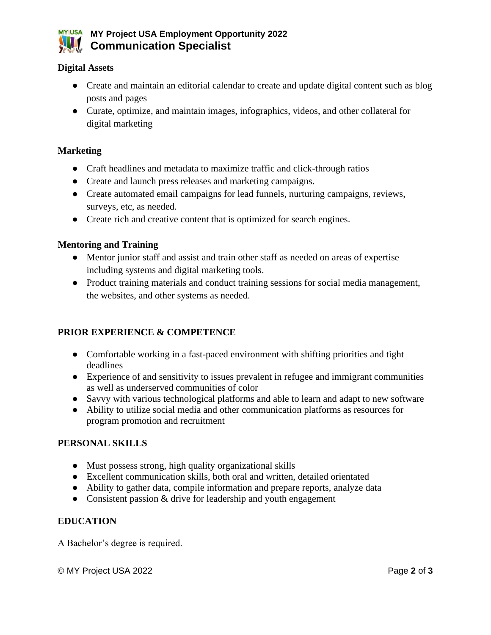

#### **Digital Assets**

- Create and maintain an editorial calendar to create and update digital content such as blog posts and pages
- Curate, optimize, and maintain images, infographics, videos, and other collateral for digital marketing

#### **Marketing**

- Craft headlines and metadata to maximize traffic and click-through ratios
- Create and launch press releases and marketing campaigns.
- Create automated email campaigns for lead funnels, nurturing campaigns, reviews, surveys, etc, as needed.
- Create rich and creative content that is optimized for search engines.

#### **Mentoring and Training**

- Mentor junior staff and assist and train other staff as needed on areas of expertise including systems and digital marketing tools.
- Product training materials and conduct training sessions for social media management, the websites, and other systems as needed.

#### **PRIOR EXPERIENCE & COMPETENCE**

- Comfortable working in a fast-paced environment with shifting priorities and tight deadlines
- Experience of and sensitivity to issues prevalent in refugee and immigrant communities as well as underserved communities of color
- Savvy with various technological platforms and able to learn and adapt to new software
- Ability to utilize social media and other communication platforms as resources for program promotion and recruitment

#### **PERSONAL SKILLS**

- Must possess strong, high quality organizational skills
- Excellent communication skills, both oral and written, detailed orientated
- Ability to gather data, compile information and prepare reports, analyze data
- Consistent passion & drive for leadership and youth engagement

#### **EDUCATION**

A Bachelor's degree is required.

© MY Project USA 2022 Page **2** of **3**